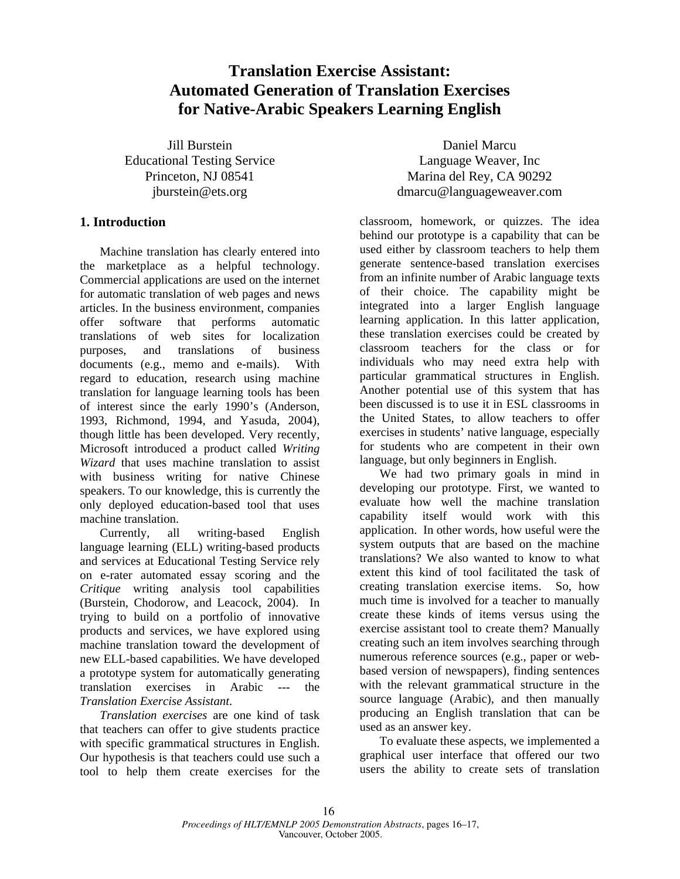# **Translation Exercise Assistant: Automated Generation of Translation Exercises for Native-Arabic Speakers Learning English**

Jill Burstein Educational Testing Service Princeton, NJ 08541 jburstein@ets.org

## **1. Introduction**

Machine translation has clearly entered into the marketplace as a helpful technology. Commercial applications are used on the internet for automatic translation of web pages and news articles. In the business environment, companies offer software that performs automatic translations of web sites for localization purposes, and translations of business documents (e.g., memo and e-mails). With regard to education, research using machine translation for language learning tools has been of interest since the early 1990's (Anderson, 1993, Richmond, 1994, and Yasuda, 2004), though little has been developed. Very recently, Microsoft introduced a product called *Writing Wizard* that uses machine translation to assist with business writing for native Chinese speakers. To our knowledge, this is currently the only deployed education-based tool that uses machine translation.

Currently, all writing-based English language learning (ELL) writing-based products and services at Educational Testing Service rely on e-rater automated essay scoring and the *Critique* writing analysis tool capabilities (Burstein, Chodorow, and Leacock, 2004). In trying to build on a portfolio of innovative products and services, we have explored using machine translation toward the development of new ELL-based capabilities. We have developed a prototype system for automatically generating translation exercises in Arabic --- the *Translation Exercise Assistant*.

*Translation exercises* are one kind of task that teachers can offer to give students practice with specific grammatical structures in English. Our hypothesis is that teachers could use such a tool to help them create exercises for the

Daniel Marcu Language Weaver, Inc Marina del Rey, CA 90292 dmarcu@languageweaver.com

classroom, homework, or quizzes. The idea behind our prototype is a capability that can be used either by classroom teachers to help them generate sentence-based translation exercises from an infinite number of Arabic language texts of their choice. The capability might be integrated into a larger English language learning application. In this latter application, these translation exercises could be created by classroom teachers for the class or for individuals who may need extra help with particular grammatical structures in English. Another potential use of this system that has been discussed is to use it in ESL classrooms in the United States, to allow teachers to offer exercises in students' native language, especially for students who are competent in their own language, but only beginners in English.

We had two primary goals in mind in developing our prototype. First, we wanted to evaluate how well the machine translation capability itself would work with this application. In other words, how useful were the system outputs that are based on the machine translations? We also wanted to know to what extent this kind of tool facilitated the task of creating translation exercise items. So, how much time is involved for a teacher to manually create these kinds of items versus using the exercise assistant tool to create them? Manually creating such an item involves searching through numerous reference sources (e.g., paper or webbased version of newspapers), finding sentences with the relevant grammatical structure in the source language (Arabic), and then manually producing an English translation that can be used as an answer key.

To evaluate these aspects, we implemented a graphical user interface that offered our two users the ability to create sets of translation